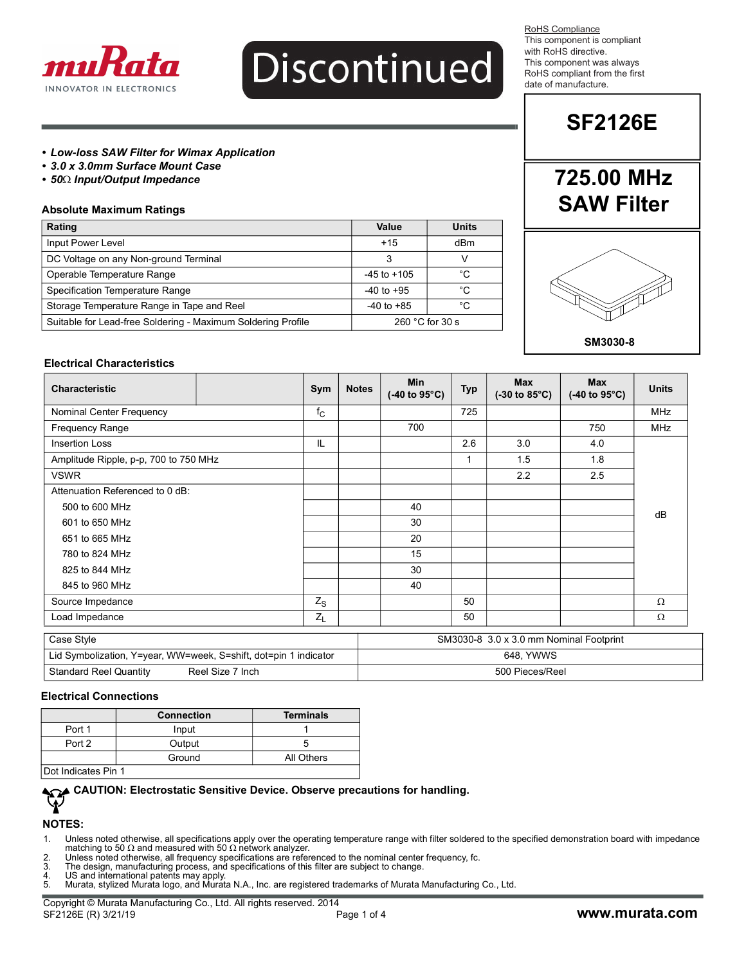

# Discontinued

RoHS Compliance This component is compliant with RoHS directive. This component was always RoHS compliant from the first date of manufacture.

## **SF2126E**

**725.00 MHz**

#### *• Low-loss SAW Filter for Wimax Application*

- *3.0 x 3.0mm Surface Mount Case*
- *50 Input/Output Impedance*

#### **Absolute Maximum Ratings**

| Rating                                                       | Value                     | <b>Units</b> |  |
|--------------------------------------------------------------|---------------------------|--------------|--|
| Input Power Level                                            | $+15$                     | dBm          |  |
| DC Voltage on any Non-ground Terminal                        |                           |              |  |
| Operable Temperature Range                                   | $-45$ to $+105$           | °C           |  |
| Specification Temperature Range                              | $-40$ to $+95$            | °C           |  |
| Storage Temperature Range in Tape and Reel                   | $-40$ to $+85$            | °C           |  |
| Suitable for Lead-free Soldering - Maximum Soldering Profile | 260 $^{\circ}$ C for 30 s |              |  |



#### **SM3030-8**

#### **Electrical Characteristics**

| <b>Characteristic</b>                 |                                         | Sym         | <b>Notes</b> | <b>Min</b><br>$(-40 \text{ to } 95^{\circ} \text{C})$ | <b>Typ</b> | <b>Max</b><br>$(-30 \text{ to } 85^{\circ}\text{C})$ | <b>Max</b><br>$(-40 \text{ to } 95^{\circ}\text{C})$ | <b>Units</b> |
|---------------------------------------|-----------------------------------------|-------------|--------------|-------------------------------------------------------|------------|------------------------------------------------------|------------------------------------------------------|--------------|
| Nominal Center Frequency              |                                         | $f_{\rm C}$ |              |                                                       | 725        |                                                      |                                                      | <b>MHz</b>   |
| Frequency Range                       |                                         |             |              | 700                                                   |            |                                                      | 750                                                  | MHz          |
| <b>Insertion Loss</b>                 |                                         | IL          |              |                                                       | 2.6        | 3.0                                                  | 4.0                                                  |              |
| Amplitude Ripple, p-p, 700 to 750 MHz |                                         |             |              |                                                       | 1          | 1.5                                                  | 1.8                                                  |              |
| <b>VSWR</b>                           |                                         |             |              |                                                       |            | 2.2                                                  | 2.5                                                  |              |
| Attenuation Referenced to 0 dB:       |                                         |             |              |                                                       |            |                                                      |                                                      |              |
| 500 to 600 MHz                        |                                         |             |              | 40                                                    |            |                                                      |                                                      | dB           |
| 601 to 650 MHz                        |                                         |             |              | 30                                                    |            |                                                      |                                                      |              |
| 651 to 665 MHz                        |                                         |             |              | 20                                                    |            |                                                      |                                                      |              |
| 780 to 824 MHz                        |                                         |             |              | 15                                                    |            |                                                      |                                                      |              |
| 825 to 844 MHz                        |                                         |             |              | 30                                                    |            |                                                      |                                                      |              |
| 845 to 960 MHz                        |                                         |             |              | 40                                                    |            |                                                      |                                                      |              |
| Source Impedance                      |                                         | $Z_{S}$     |              |                                                       | 50         |                                                      |                                                      | Ω            |
| Load Impedance                        |                                         | $Z_L$       |              |                                                       | 50         |                                                      |                                                      | Ω            |
| Case Style                            | SM3030-8 3.0 x 3.0 mm Nominal Footprint |             |              |                                                       |            |                                                      |                                                      |              |

| WW=week.<br>∟id<br>indicator<br>S=shift.<br>. dot=bin<br>Y=vear.<br>Symbolization. | YWWS<br>648            |  |
|------------------------------------------------------------------------------------|------------------------|--|
| ہtar<br>Inch<br>, Quantity<br>SIZE<br>Reel<br>Reel<br>าdard                        | ENN DI<br>Ree<br>- OUC |  |

#### **Electrical Connections**

|                     | <b>Connection</b> | <b>Terminals</b> |
|---------------------|-------------------|------------------|
| Port 1              | Input             |                  |
| Port 2              | Output            |                  |
|                     | Ground            | All Others       |
| Dot Indicates Pin 1 |                   |                  |

#### **CAUTION: Electrostatic Sensitive Device. Observe precautions for handling.**  $\mathbf{\hat{V}}$

#### **NOTES:**

- 2. Unless noted otherwise, all frequency specifications are referenced to the nominal center frequency, fc.<br>3. The design, manufacturing process, and specifications of this filter are subject to change.
- 3. The design, manufacturing process, and specifications of this filter are subject to change.
- 4. US and international patents may apply. 5. Murata, stylized Murata logo, and Murata N.A., Inc. are registered trademarks of Murata Manufacturing Co., Ltd.
- 

<sup>1.</sup> Unless noted otherwise, all specifications apply over the operating temperature range with filter soldered to the specified demonstration board with impedance<br>matching to 50 Ω and measured with 50 Ω network analyzer.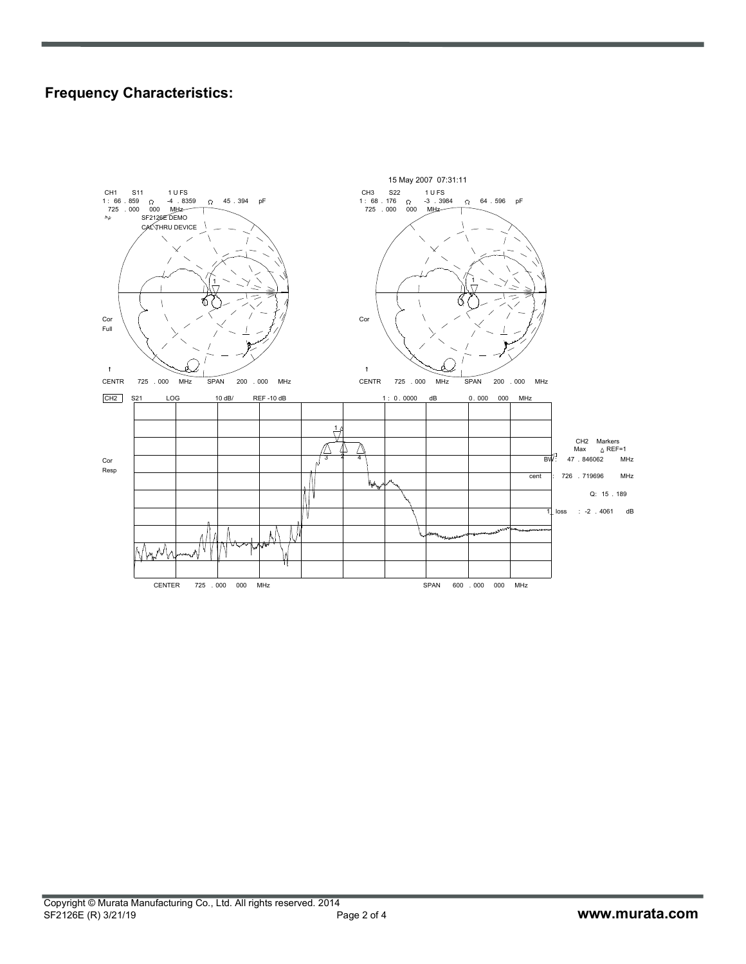### **Frequency Characteristics:**

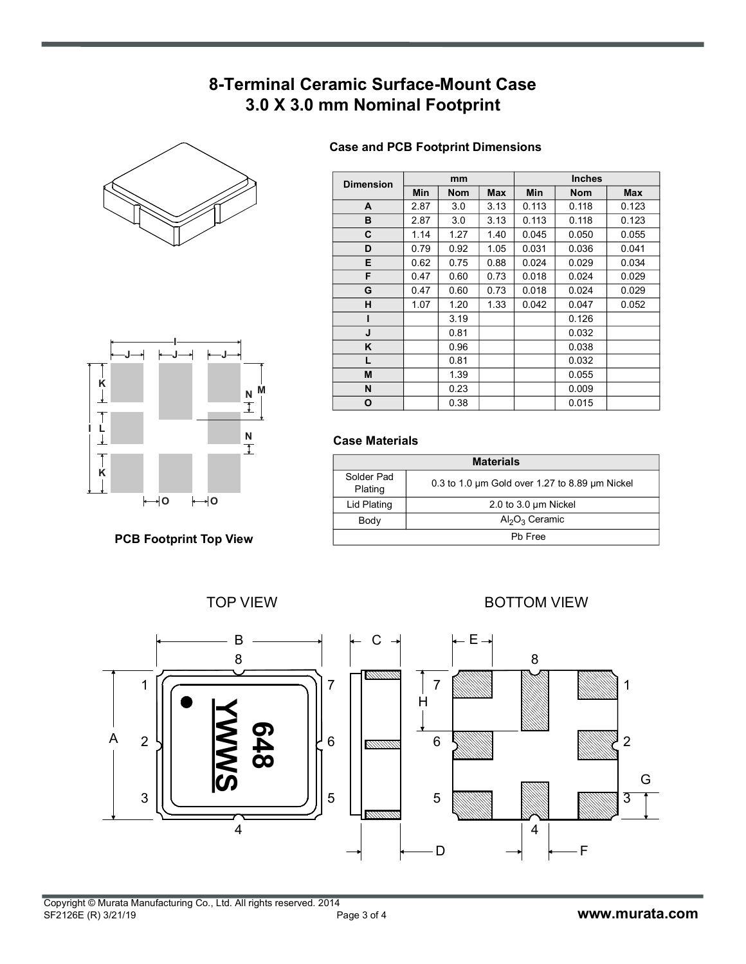## **8-Terminal Ceramic Surface-Mount Case 3.0 X 3.0 mm Nominal Footprint**





**PCB Footprint Top View**

#### **Case and PCB Footprint Dimensions**

| <b>Dimension</b> | mm         |            |      | <b>Inches</b> |            |            |  |
|------------------|------------|------------|------|---------------|------------|------------|--|
|                  | <b>Min</b> | <b>Nom</b> | Max  | Min           | <b>Nom</b> | <b>Max</b> |  |
| A                | 2.87       | 3.0        | 3.13 | 0.113         | 0.118      | 0.123      |  |
| в                | 2.87       | 3.0        | 3.13 | 0.113         | 0.118      | 0.123      |  |
| C                | 1.14       | 1.27       | 1.40 | 0.045         | 0.050      | 0.055      |  |
| D                | 0.79       | 0.92       | 1.05 | 0.031         | 0.036      | 0.041      |  |
| Е                | 0.62       | 0.75       | 0.88 | 0.024         | 0.029      | 0.034      |  |
| F                | 0.47       | 0.60       | 0.73 | 0.018         | 0.024      | 0.029      |  |
| G                | 0.47       | 0.60       | 0.73 | 0.018         | 0.024      | 0.029      |  |
| н                | 1.07       | 1.20       | 1.33 | 0.042         | 0.047      | 0.052      |  |
| ı                |            | 3.19       |      |               | 0.126      |            |  |
| J                |            | 0.81       |      |               | 0.032      |            |  |
| ĸ                |            | 0.96       |      |               | 0.038      |            |  |
| L                |            | 0.81       |      |               | 0.032      |            |  |
| M                |            | 1.39       |      |               | 0.055      |            |  |
| N                |            | 0.23       |      |               | 0.009      |            |  |
| O                |            | 0.38       |      |               | 0.015      |            |  |

#### **Case Materials**

| <b>Materials</b>      |                                                          |  |  |  |
|-----------------------|----------------------------------------------------------|--|--|--|
| Solder Pad<br>Plating | 0.3 to 1.0 $\mu$ m Gold over 1.27 to 8.89 $\mu$ m Nickel |  |  |  |
| Lid Plating           | $2.0$ to $3.0 \mu m$ Nickel                              |  |  |  |
| Body                  | $Al_2O_3$ Ceramic                                        |  |  |  |
| Ph Free               |                                                          |  |  |  |

#### TOP VIEW **BOTTOM VIEW**

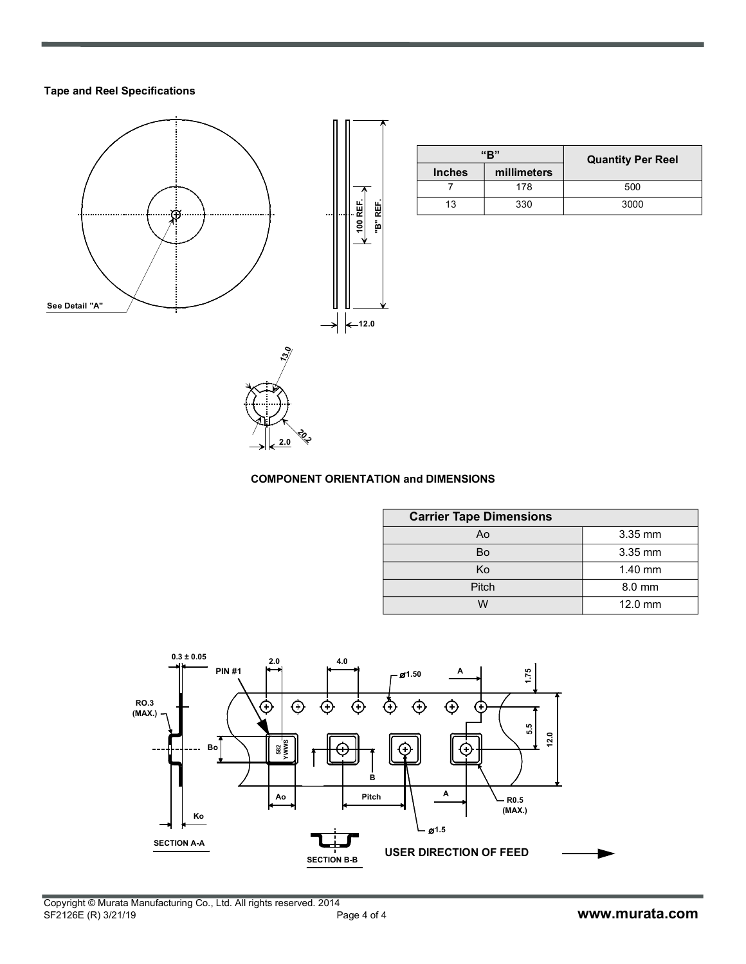#### **Tape and Reel Specifications**



| "R"           |             | <b>Quantity Per Reel</b> |
|---------------|-------------|--------------------------|
| <b>Inches</b> | millimeters |                          |
|               | 178         | 500                      |
| 13            | 330         | 3000                     |

#### **COMPONENT ORIENTATION and DIMENSIONS**

**20.2 2.0**

| <b>Carrier Tape Dimensions</b> |           |  |  |  |
|--------------------------------|-----------|--|--|--|
| Ao                             | $3.35$ mm |  |  |  |
| Bo                             | $3.35$ mm |  |  |  |
| Ko                             | $1.40$ mm |  |  |  |
| Pitch                          | $8.0$ mm  |  |  |  |
| ៶៱៸                            | $12.0$ mm |  |  |  |